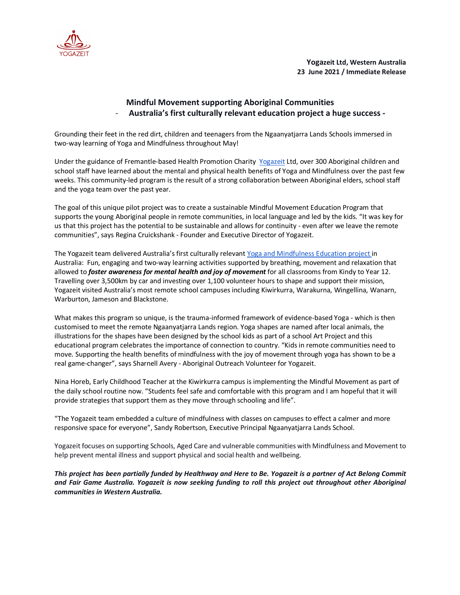

**Yogazeit Ltd, Western Australia 23 June 2021 / Immediate Release**

## **Mindful Movement supporting Aboriginal Communities** - **Australia's first culturally relevant education project a huge success -**

Grounding their feet in the red dirt, children and teenagers from the Ngaanyatjarra Lands Schools immersed in two-way learning of Yoga and Mindfulness throughout May!

Under the guidance of Fremantle-based Health Promotion Charity Yogazeit Ltd, over 300 Aboriginal children and school staff have learned about the mental and physical health benefits of Yoga and Mindfulness over the past few weeks. This community-led program is the result of a strong collaboration between Aboriginal elders, school staff and the yoga team over the past year.

The goal of this unique pilot project was to create a sustainable Mindful Movement Education Program that supports the young Aboriginal people in remote communities, in local language and led by the kids. "It was key for us that this project has the potential to be sustainable and allows for continuity - even after we leave the remote communities", says Regina Cruickshank - Founder and Executive Director of Yogazeit.

The Yogazeit team delivered Australia's first culturally relevant Yoga and Mindfulness Education project in Australia: Fun, engaging and two-way learning activities supported by breathing, movement and relaxation that allowed to *foster awareness for mental health and joy of movement* for all classrooms from Kindy to Year 12. Travelling over 3,500km by car and investing over 1,100 volunteer hours to shape and support their mission, Yogazeit visited Australia's most remote school campuses including Kiwirkurra, Warakurna, Wingellina, Wanarn, Warburton, Jameson and Blackstone.

What makes this program so unique, is the trauma-informed framework of evidence-based Yoga - which is then customised to meet the remote Ngaanyatjarra Lands region. Yoga shapes are named after local animals, the illustrations for the shapes have been designed by the school kids as part of a school Art Project and this educational program celebrates the importance of connection to country. "Kids in remote communities need to move. Supporting the health benefits of mindfulness with the joy of movement through yoga has shown to be a real game-changer", says Sharnell Avery - Aboriginal Outreach Volunteer for Yogazeit.

Nina Horeb, Early Childhood Teacher at the Kiwirkurra campus is implementing the Mindful Movement as part of the daily school routine now. "Students feel safe and comfortable with this program and I am hopeful that it will provide strategies that support them as they move through schooling and life".

"The Yogazeit team embedded a culture of mindfulness with classes on campuses to effect a calmer and more responsive space for everyone", Sandy Robertson, Executive Principal Ngaanyatjarra Lands School.

Yogazeit focuses on supporting Schools, Aged Care and vulnerable communities with Mindfulness and Movement to help prevent mental illness and support physical and social health and wellbeing.

*This project has been partially funded by Healthway and Here to Be. Yogazeit is a partner of Act Belong Commit and Fair Game Australia. Yogazeit is now seeking funding to roll this project out throughout other Aboriginal communities in Western Australia.*